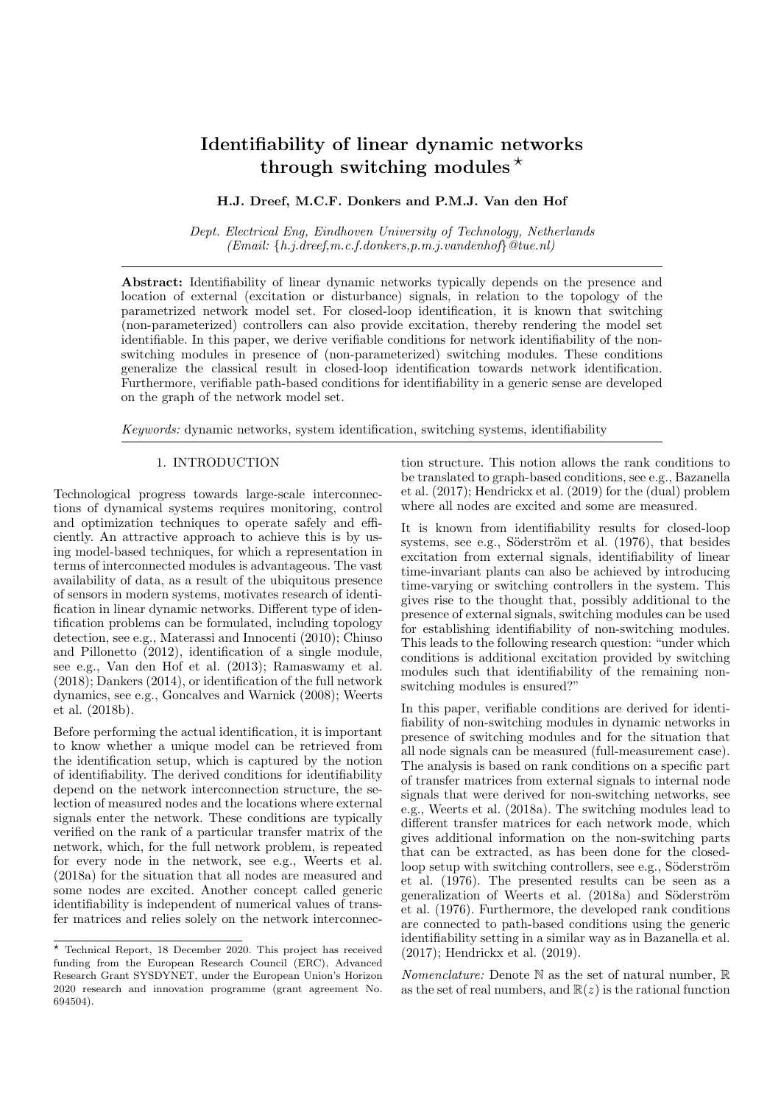# Identifiability of linear dynamic networks through switching modules  $\star$

# H.J. Dreef, M.C.F. Donkers and P.M.J. Van den Hof

Dept. Electrical Eng, Eindhoven University of Technology, Netherlands  $(Email: \{h.i.dreef, m.c.f.donkers, p.m.i.vandenhof\} @tue.nl)$ 

Abstract: Identifiability of linear dynamic networks typically depends on the presence and location of external (excitation or disturbance) signals, in relation to the topology of the parametrized network model set. For closed-loop identification, it is known that switching (non-parameterized) controllers can also provide excitation, thereby rendering the model set identifiable. In this paper, we derive verifiable conditions for network identifiability of the nonswitching modules in presence of (non-parameterized) switching modules. These conditions generalize the classical result in closed-loop identification towards network identification. Furthermore, verifiable path-based conditions for identifiability in a generic sense are developed on the graph of the network model set.

Keywords: dynamic networks, system identification, switching systems, identifiability

#### 1. INTRODUCTION

Technological progress towards large-scale interconnections of dynamical systems requires monitoring, control and optimization techniques to operate safely and efficiently. An attractive approach to achieve this is by using model-based techniques, for which a representation in terms of interconnected modules is advantageous. The vast availability of data, as a result of the ubiquitous presence of sensors in modern systems, motivates research of identification in linear dynamic networks. Different type of identification problems can be formulated, including topology detection, see e.g., Materassi and Innocenti (2010); Chiuso and Pillonetto (2012), identification of a single module, see e.g., Van den Hof et al. (2013); Ramaswamy et al. (2018); Dankers (2014), or identification of the full network dynamics, see e.g., Goncalves and Warnick (2008); Weerts et al. (2018b).

Before performing the actual identification, it is important to know whether a unique model can be retrieved from the identification setup, which is captured by the notion of identifiability. The derived conditions for identifiability depend on the network interconnection structure, the selection of measured nodes and the locations where external signals enter the network. These conditions are typically verified on the rank of a particular transfer matrix of the network, which, for the full network problem, is repeated for every node in the network, see e.g., Weerts et al. (2018a) for the situation that all nodes are measured and some nodes are excited. Another concept called generic identifiability is independent of numerical values of transfer matrices and relies solely on the network interconnection structure. This notion allows the rank conditions to be translated to graph-based conditions, see e.g., Bazanella et al. (2017); Hendrickx et al. (2019) for the (dual) problem where all nodes are excited and some are measured.

It is known from identifiability results for closed-loop systems, see e.g., Söderström et al.  $(1976)$ , that besides excitation from external signals, identifiability of linear time-invariant plants can also be achieved by introducing time-varying or switching controllers in the system. This gives rise to the thought that, possibly additional to the presence of external signals, switching modules can be used for establishing identifiability of non-switching modules. This leads to the following research question: "under which conditions is additional excitation provided by switching modules such that identifiability of the remaining nonswitching modules is ensured?"

In this paper, verifiable conditions are derived for identifiability of non-switching modules in dynamic networks in presence of switching modules and for the situation that all node signals can be measured (full-measurement case). The analysis is based on rank conditions on a specific part of transfer matrices from external signals to internal node signals that were derived for non-switching networks, see e.g., Weerts et al. (2018a). The switching modules lead to different transfer matrices for each network mode, which gives additional information on the non-switching parts that can be extracted, as has been done for the closedloop setup with switching controllers, see e.g., Söderström et al. (1976). The presented results can be seen as a generalization of Weerts et al. (2018a) and Söderström et al. (1976). Furthermore, the developed rank conditions are connected to path-based conditions using the generic identifiability setting in a similar way as in Bazanella et al. (2017); Hendrickx et al. (2019).

*Nomenclature:* Denote  $\mathbb N$  as the set of natural number,  $\mathbb R$ as the set of real numbers, and  $\mathbb{R}(z)$  is the rational function

<sup>?</sup> Technical Report, 18 December 2020. This project has received funding from the European Research Council (ERC), Advanced Research Grant SYSDYNET, under the European Union's Horizon 2020 research and innovation programme (grant agreement No. 694504).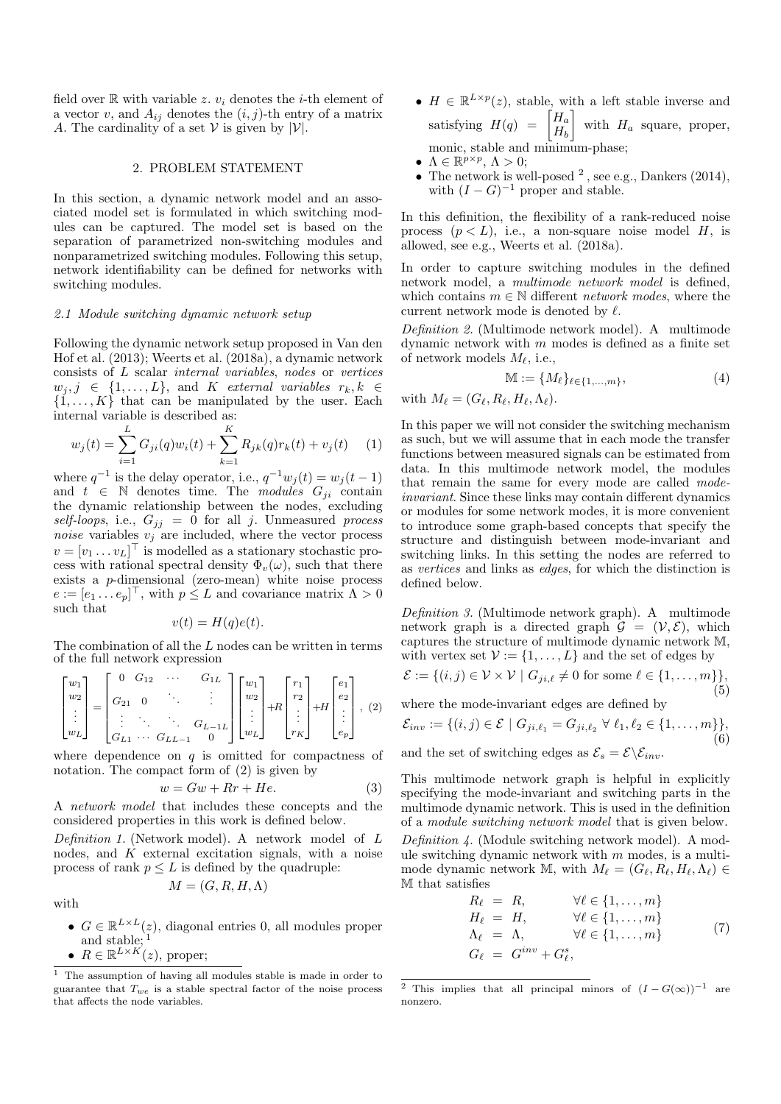field over  $\mathbb R$  with variable z.  $v_i$  denotes the *i*-th element of a vector v, and  $A_{ij}$  denotes the  $(i, j)$ -th entry of a matrix A. The cardinality of a set  $V$  is given by  $|V|$ .

## 2. PROBLEM STATEMENT

In this section, a dynamic network model and an associated model set is formulated in which switching modules can be captured. The model set is based on the separation of parametrized non-switching modules and nonparametrized switching modules. Following this setup, network identifiability can be defined for networks with switching modules.

#### 2.1 Module switching dynamic network setup

Following the dynamic network setup proposed in Van den Hof et al. (2013); Weerts et al. (2018a), a dynamic network consists of L scalar internal variables, nodes or vertices  $w_j, j \in \{1, \ldots, L\}$ , and K external variables  $r_k, k \in$  $\{1, \ldots, K\}$  that can be manipulated by the user. Each internal variable is described as:

$$
w_j(t) = \sum_{i=1}^{L} G_{ji}(q)w_i(t) + \sum_{k=1}^{K} R_{jk}(q)r_k(t) + v_j(t)
$$
 (1)

where  $q^{-1}$  is the delay operator, i.e.,  $q^{-1}w_j(t) = w_j(t-1)$ and  $t \in \mathbb{N}$  denotes time. The modules  $G_{ji}$  contain the dynamic relationship between the nodes, excluding self-loops, i.e.,  $G_{jj} = 0$  for all j. Unmeasured process noise variables  $v_j$  are included, where the vector process  $v = [v_1 \dots v_L]^\top$  is modelled as a stationary stochastic process with rational spectral density  $\Phi_v(\omega)$ , such that there exists a p-dimensional (zero-mean) white noise process  $e := [e_1 \dots e_p]^\top$ , with  $p \leq L$  and covariance matrix  $\Lambda > 0$ such that

$$
v(t) = H(q)e(t).
$$

The combination of all the  $L$  nodes can be written in terms of the full network expression

$$
\begin{bmatrix} w_1 \\ w_2 \\ \vdots \\ w_L \end{bmatrix} = \begin{bmatrix} 0 & G_{12} & \cdots & G_{1L} \\ G_{21} & 0 & \ddots & \vdots \\ \vdots & \ddots & \ddots & G_{L-1L} \\ G_{L1} & \cdots & G_{LL-1} & 0 \end{bmatrix} \begin{bmatrix} w_1 \\ w_2 \\ \vdots \\ w_L \end{bmatrix} + R \begin{bmatrix} r_1 \\ r_2 \\ \vdots \\ r_K \end{bmatrix} + H \begin{bmatrix} e_1 \\ e_2 \\ \vdots \\ e_p \end{bmatrix}, \tag{2}
$$

where dependence on  $q$  is omitted for compactness of notation. The compact form of (2) is given by

$$
w = Gw + Rr + He.
$$
 (3)

A network model that includes these concepts and the considered properties in this work is defined below.

Definition 1. (Network model). A network model of L nodes, and  $K$  external excitation signals, with a noise process of rank  $p \leq L$  is defined by the quadruple:

$$
M = (G, R, H, \Lambda)
$$

with

- $G \in \mathbb{R}^{L \times L}(z)$ , diagonal entries 0, all modules proper and stable;  $1$
- $R \in \mathbb{R}^{L \times K'}(z)$ , proper;
- $H \in \mathbb{R}^{L \times p}(z)$ , stable, with a left stable inverse and satisfying  $H(q) = \begin{bmatrix} H_a \\ H_a \end{bmatrix}$  $H_b$ with  $H_a$  square, proper, monic, stable and minimum-phase;
- $\Lambda \in \mathbb{R}^{p \times p}, \Lambda > 0;$
- The network is well-posed  $^2$ , see e.g., Dankers (2014), with  $(I - G)^{-1}$  proper and stable.

In this definition, the flexibility of a rank-reduced noise process  $(p < L)$ , i.e., a non-square noise model H, is allowed, see e.g., Weerts et al. (2018a).

In order to capture switching modules in the defined network model, a multimode network model is defined, which contains  $m \in \mathbb{N}$  different *network modes*, where the current network mode is denoted by  $\ell$ .

Definition 2. (Multimode network model). A multimode dynamic network with  $m$  modes is defined as a finite set of network models  $M_{\ell}$ , i.e.,

$$
\mathbb{M} := \{M_{\ell}\}_{{\ell \in \{1, ..., m\}}},\tag{4}
$$

with  $M_\ell = (G_\ell, R_\ell, H_\ell, \Lambda_\ell).$ 

In this paper we will not consider the switching mechanism as such, but we will assume that in each mode the transfer functions between measured signals can be estimated from data. In this multimode network model, the modules that remain the same for every mode are called modeinvariant. Since these links may contain different dynamics or modules for some network modes, it is more convenient to introduce some graph-based concepts that specify the structure and distinguish between mode-invariant and switching links. In this setting the nodes are referred to as vertices and links as edges, for which the distinction is defined below.

Definition 3. (Multimode network graph). A multimode network graph is a directed graph  $\mathcal{G} = (\mathcal{V}, \mathcal{E})$ , which captures the structure of multimode dynamic network M, with vertex set  $\mathcal{V} := \{1, \ldots, L\}$  and the set of edges by

$$
\mathcal{E} := \{(i, j) \in \mathcal{V} \times \mathcal{V} \mid G_{ji, \ell} \neq 0 \text{ for some } \ell \in \{1, \dots, m\}\},\
$$
(5)

where the mode-invariant edges are defined by

$$
\mathcal{E}_{inv} := \{ (i,j) \in \mathcal{E} \mid G_{ji,\ell_1} = G_{ji,\ell_2} \ \forall \ \ell_1, \ell_2 \in \{1, \dots, m\} \},\
$$
(6)

and the set of switching edges as  $\mathcal{E}_s = \mathcal{E} \backslash \mathcal{E}_{inv}$ .

This multimode network graph is helpful in explicitly specifying the mode-invariant and switching parts in the multimode dynamic network. This is used in the definition of a module switching network model that is given below. Definition 4. (Module switching network model). A module switching dynamic network with  $m$  modes, is a multimode dynamic network M, with  $M_\ell = (G_\ell, R_\ell, H_\ell, \Lambda_\ell) \in$ M that satisfies

$$
R_{\ell} = R, \qquad \forall \ell \in \{1, ..., m\}
$$
  
\n
$$
H_{\ell} = H, \qquad \forall \ell \in \{1, ..., m\}
$$
  
\n
$$
\Lambda_{\ell} = \Lambda, \qquad \forall \ell \in \{1, ..., m\}
$$
  
\n
$$
G_{\ell} = G^{inv} + G_{\ell}^{s},
$$
\n(7)

<sup>1</sup> The assumption of having all modules stable is made in order to guarantee that  $T_{we}$  is a stable spectral factor of the noise process that affects the node variables.

<sup>&</sup>lt;sup>2</sup> This implies that all principal minors of  $(I - G(\infty))^{-1}$  are nonzero.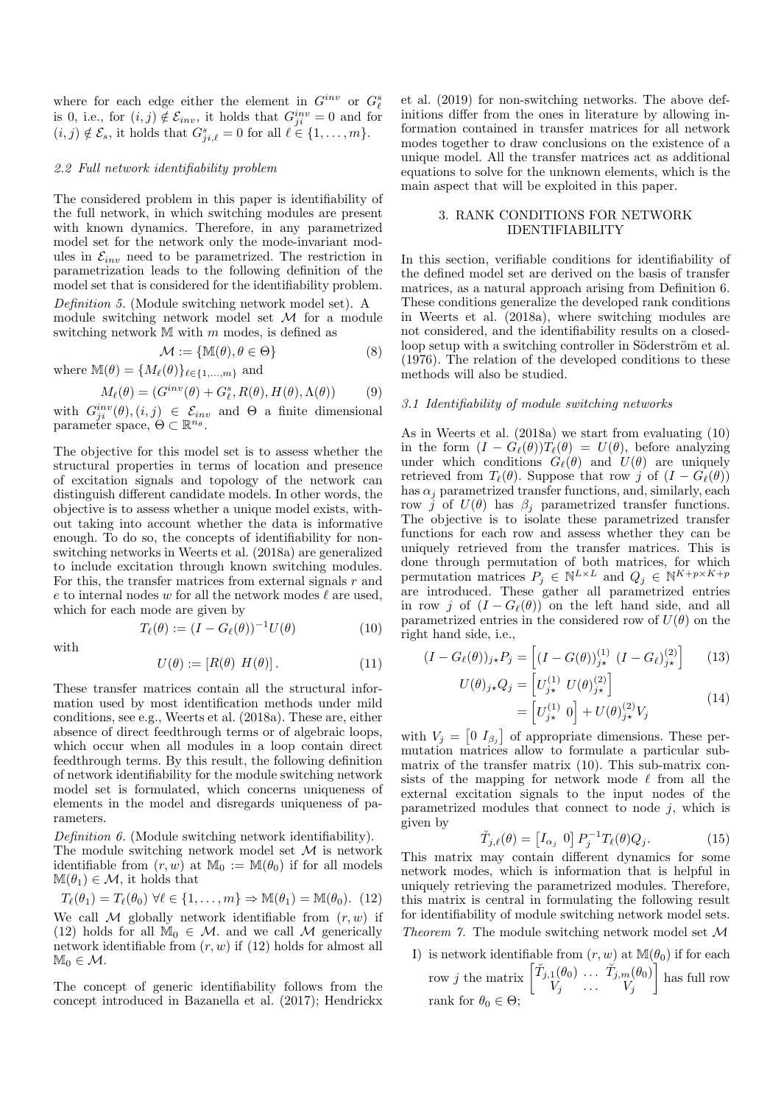where for each edge either the element in  $G_i^{inv}$  or  $G_\ell^s$ is 0, i.e., for  $(i, j) \notin \mathcal{E}_{inv}$ , it holds that  $G_{ji}^{inv} = 0$  and for  $(i, j) \notin \mathcal{E}_s$ , it holds that  $G_{ji,\ell}^s = 0$  for all  $\ell \in \{1, \ldots, m\}.$ 

#### 2.2 Full network identifiability problem

The considered problem in this paper is identifiability of the full network, in which switching modules are present with known dynamics. Therefore, in any parametrized model set for the network only the mode-invariant modules in  $\mathcal{E}_{inv}$  need to be parametrized. The restriction in parametrization leads to the following definition of the model set that is considered for the identifiability problem. Definition 5. (Module switching network model set). A

module switching network model set  $M$  for a module switching network  $M$  with  $m$  modes, is defined as

$$
\mathcal{M} := \{ \mathbb{M}(\theta), \theta \in \Theta \}
$$
 (8)

where  $\mathbb{M}(\theta) = \{M_\ell(\theta)\}_{\ell \in \{1,\ldots,m\}}$  and

$$
M_{\ell}(\theta) = (G^{inv}(\theta) + G_{\ell}^s, R(\theta), H(\theta), \Lambda(\theta))
$$
 (9)

with  $G_{ji}^{inv}(\theta)$ ,  $(i, j) \in \mathcal{E}_{inv}$  and  $\Theta$  a finite dimensional parameter space,  $\Theta \subset \mathbb{R}^{n_{\theta}}$ .

The objective for this model set is to assess whether the structural properties in terms of location and presence of excitation signals and topology of the network can distinguish different candidate models. In other words, the objective is to assess whether a unique model exists, without taking into account whether the data is informative enough. To do so, the concepts of identifiability for nonswitching networks in Weerts et al. (2018a) are generalized to include excitation through known switching modules. For this, the transfer matrices from external signals  $r$  and e to internal nodes  $w$  for all the network modes  $\ell$  are used, which for each mode are given by

with

$$
T_{\ell}(\theta) := (I - G_{\ell}(\theta))^{-1} U(\theta)
$$
 (10)

$$
U(\theta) := [R(\theta) \ H(\theta)]. \tag{11}
$$

These transfer matrices contain all the structural information used by most identification methods under mild conditions, see e.g., Weerts et al. (2018a). These are, either absence of direct feedthrough terms or of algebraic loops, which occur when all modules in a loop contain direct feedthrough terms. By this result, the following definition of network identifiability for the module switching network model set is formulated, which concerns uniqueness of elements in the model and disregards uniqueness of parameters.

Definition 6. (Module switching network identifiability).

The module switching network model set  $M$  is network identifiable from  $(r, w)$  at  $M_0 := M(\theta_0)$  if for all models  $\mathbb{M}(\theta_1) \in \mathcal{M}$ , it holds that

$$
T_{\ell}(\theta_1) = T_{\ell}(\theta_0) \ \forall \ell \in \{1, \ldots, m\} \Rightarrow \mathbb{M}(\theta_1) = \mathbb{M}(\theta_0). \tag{12}
$$

We call M globally network identifiable from  $(r, w)$  if (12) holds for all  $\mathbb{M}_0 \in \mathcal{M}$  and we call  $\mathcal M$  generically network identifiable from  $(r, w)$  if  $(12)$  holds for almost all  $\mathbb{M}_0 \in \mathcal{M}.$ 

The concept of generic identifiability follows from the concept introduced in Bazanella et al. (2017); Hendrickx et al. (2019) for non-switching networks. The above definitions differ from the ones in literature by allowing information contained in transfer matrices for all network modes together to draw conclusions on the existence of a unique model. All the transfer matrices act as additional equations to solve for the unknown elements, which is the main aspect that will be exploited in this paper.

# 3. RANK CONDITIONS FOR NETWORK IDENTIFIABILITY

In this section, verifiable conditions for identifiability of the defined model set are derived on the basis of transfer matrices, as a natural approach arising from Definition 6. These conditions generalize the developed rank conditions in Weerts et al. (2018a), where switching modules are not considered, and the identifiability results on a closedloop setup with a switching controller in Söderström et al. (1976). The relation of the developed conditions to these methods will also be studied.

#### 3.1 Identifiability of module switching networks

As in Weerts et al. (2018a) we start from evaluating (10) in the form  $(I - G_{\ell}(\theta))T_{\ell}(\theta) = U(\theta)$ , before analyzing under which conditions  $G_{\ell}(\theta)$  and  $U(\theta)$  are uniquely retrieved from  $T_{\ell}(\theta)$ . Suppose that row j of  $(I - G_{\ell}(\theta))$ has  $\alpha_i$  parametrized transfer functions, and, similarly, each row j of  $U(\theta)$  has  $\beta_i$  parametrized transfer functions. The objective is to isolate these parametrized transfer functions for each row and assess whether they can be uniquely retrieved from the transfer matrices. This is done through permutation of both matrices, for which permutation matrices  $P_j \in \mathbb{N}^{L \times L}$  and  $Q_j \in \mathbb{N}^{K+p \times K+p}$ are introduced. These gather all parametrized entries in row j of  $(I - G_{\ell}(\theta))$  on the left hand side, and all parametrized entries in the considered row of  $U(\theta)$  on the right hand side, i.e.,

$$
(I - G_{\ell}(\theta))_{j*} P_j = \left[ (I - G(\theta))_{j*}^{(1)} (I - G_{\ell})_{j*}^{(2)} \right] \qquad (13)
$$

$$
U(\theta)_{j\star}Q_j = \left[U_{j\star}^{(1)}\ U(\theta)_{j\star}^{(2)}\right]
$$
  
= 
$$
\left[U_{j\star}^{(1)}\ 0\right] + U(\theta)_{j\star}^{(2)}V_j
$$
 (14)

with  $V_j = \begin{bmatrix} 0 & I_{\beta_j} \end{bmatrix}$  of appropriate dimensions. These permutation matrices allow to formulate a particular submatrix of the transfer matrix (10). This sub-matrix consists of the mapping for network mode  $\ell$  from all the external excitation signals to the input nodes of the parametrized modules that connect to node  $j$ , which is given by

$$
\breve{T}_{j,\ell}(\theta) = \begin{bmatrix} I_{\alpha_j} & 0 \end{bmatrix} P_j^{-1} T_\ell(\theta) Q_j.
$$
 (15)

This matrix may contain different dynamics for some network modes, which is information that is helpful in uniquely retrieving the parametrized modules. Therefore, this matrix is central in formulating the following result for identifiability of module switching network model sets. Theorem 7. The module switching network model set  $\mathcal M$ 

I) is network identifiable from  $(r, w)$  at  $\mathbb{M}(\theta_0)$  if for each row j the matrix  $\begin{bmatrix} \check{T}_{j,1}(\theta_0) & \dots & \check{T}_{j,m}(\theta_0) \\ V_{\mathbf{I},\mathbf{I}'} & \mathbf{I}_{\mathbf{I}'} \end{bmatrix}$  $V_j$  ...  $V_j$  has full row rank for  $\theta_0 \in \Theta;$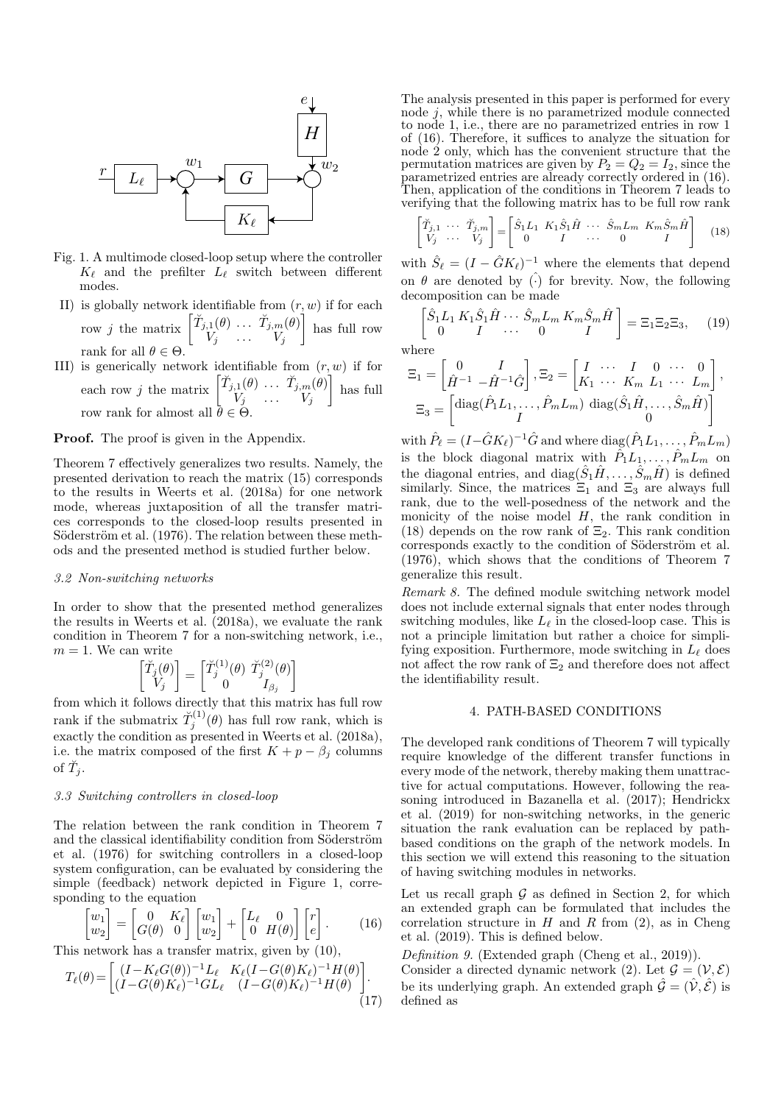

- Fig. 1. A multimode closed-loop setup where the controller  $K_{\ell}$  and the prefilter  $L_{\ell}$  switch between different modes.
- II) is globally network identifiable from  $(r, w)$  if for each row j the matrix  $\begin{bmatrix} \breve{T}_{j,1}(\theta) & \cdots & \breve{T}_{j,m}(\theta) \\ V & \cdots & \tilde{V}_{j,m}(\theta) \end{bmatrix}$  $V_j$  ...  $V_j$  has full row rank for all  $\theta \in \Theta$ .
- III) is generically network identifiable from  $(r, w)$  if for each row j the matrix  $\begin{bmatrix} \tilde{T}_{j,1}(\theta) & \cdots & \tilde{T}_{j,m}(\theta) \\ V_{j} & \cdots & V_{j} \end{bmatrix}$  $V_j$  ...  $V_j$  has full row rank for almost all  $\bar{\theta} \in \Theta$ .

Proof. The proof is given in the Appendix.

Theorem 7 effectively generalizes two results. Namely, the presented derivation to reach the matrix (15) corresponds to the results in Weerts et al. (2018a) for one network mode, whereas juxtaposition of all the transfer matrices corresponds to the closed-loop results presented in Söderström et al. (1976). The relation between these methods and the presented method is studied further below.

#### 3.2 Non-switching networks

In order to show that the presented method generalizes the results in Weerts et al. (2018a), we evaluate the rank condition in Theorem 7 for a non-switching network, i.e.,  $m = 1$ . We can write

$$
\begin{bmatrix} \breve{T}_j(\theta) \\ V_j \end{bmatrix} = \begin{bmatrix} \breve{T}_j^{(1)}(\theta) & \breve{T}_j^{(2)}(\theta) \\ 0 & I_{\beta_j} \end{bmatrix}
$$

from which it follows directly that this matrix has full row rank if the submatrix  $\tilde{T}^{(1)}_j(\theta)$  has full row rank, which is exactly the condition as presented in Weerts et al. (2018a), i.e. the matrix composed of the first  $K + p - \beta_j$  columns of  $\breve{T}_j$ .

#### 3.3 Switching controllers in closed-loop

The relation between the rank condition in Theorem 7 and the classical identifiability condition from Söderström et al. (1976) for switching controllers in a closed-loop system configuration, can be evaluated by considering the simple (feedback) network depicted in Figure 1, corresponding to the equation

$$
\begin{bmatrix} w_1 \\ w_2 \end{bmatrix} = \begin{bmatrix} 0 & K_{\ell} \\ G(\theta) & 0 \end{bmatrix} \begin{bmatrix} w_1 \\ w_2 \end{bmatrix} + \begin{bmatrix} L_{\ell} & 0 \\ 0 & H(\theta) \end{bmatrix} \begin{bmatrix} r \\ e \end{bmatrix}.
$$
 (16)

This network has a transfer matrix, given by (10),

$$
T_{\ell}(\theta) = \begin{bmatrix} (I - K_{\ell}G(\theta))^{-1}L_{\ell} & K_{\ell}(I - G(\theta)K_{\ell})^{-1}H(\theta) \\ (I - G(\theta)K_{\ell})^{-1}GL_{\ell} & (I - G(\theta)K_{\ell})^{-1}H(\theta) \end{bmatrix}.
$$
\n(17)

The analysis presented in this paper is performed for every node  $j$ , while there is no parametrized module connected to node 1, i.e., there are no parametrized entries in row 1 of (16). Therefore, it suffices to analyze the situation for node 2 only, which has the convenient structure that the permutation matrices are given by  $P_2 = Q_2 = I_2$ , since the parametrized entries are already correctly ordered in (16). Then, application of the conditions in Theorem 7 leads to verifying that the following matrix has to be full row rank

$$
\begin{bmatrix} \tilde{T}_{j,1} & \cdots & \tilde{T}_{j,m} \\ V_j & \cdots & V_j \end{bmatrix} = \begin{bmatrix} \hat{S}_1 L_1 & K_1 \hat{S}_1 \hat{H} & \cdots & \hat{S}_m L_m & K_m \hat{S}_m \hat{H} \\ 0 & I & \cdots & 0 & I \end{bmatrix}
$$
 (18)

with  $\hat{S}_{\ell} = (I - \hat{G}K_{\ell})^{-1}$  where the elements that depend on  $\theta$  are denoted by  $\hat{()}$  for brevity. Now, the following decomposition can be made

$$
\begin{bmatrix}\n\hat{S}_1 L_1 K_1 \hat{S}_1 \hat{H} \cdots \hat{S}_m L_m K_m \hat{S}_m \hat{H} \\
0 \quad I \quad \cdots \quad 0 \quad I\n\end{bmatrix} = \Xi_1 \Xi_2 \Xi_3, \quad (19)
$$

where

$$
\Xi_1 = \begin{bmatrix} 0 & I \\ \hat{H}^{-1} & -\hat{H}^{-1}\hat{G} \end{bmatrix}, \Xi_2 = \begin{bmatrix} I & \cdots & I & 0 & \cdots & 0 \\ K_1 & \cdots & K_m & L_1 & \cdots & L_m \end{bmatrix},
$$

$$
\Xi_3 = \begin{bmatrix} \text{diag}(\hat{P}_1 L_1, \ldots, \hat{P}_m L_m) & \text{diag}(\hat{S}_1 \hat{H}, \ldots, \hat{S}_m \hat{H}) \\ I & 0 \end{bmatrix}
$$

with  $\hat{P}_{\ell} = (I - \hat{G}K_{\ell})^{-1}\hat{G}$  and where  $\text{diag}(\hat{P}_1L_1, \ldots, \hat{P}_mL_m)$ is the block diagonal matrix with  $\hat{P}_1 L_1, \ldots, \hat{P}_m L_m$  on the diagonal entries, and  $diag(\hat{S}_1\hat{H}, \dots, \hat{S}_m\hat{H})$  is defined similarly. Since, the matrices  $\Xi_1$  and  $\Xi_3$  are always full rank, due to the well-posedness of the network and the monicity of the noise model  $H$ , the rank condition in (18) depends on the row rank of  $\Xi_2$ . This rank condition corresponds exactly to the condition of Söderström et al. (1976), which shows that the conditions of Theorem 7 generalize this result.

Remark 8. The defined module switching network model does not include external signals that enter nodes through switching modules, like  $L_{\ell}$  in the closed-loop case. This is not a principle limitation but rather a choice for simplifying exposition. Furthermore, mode switching in  $L_{\ell}$  does not affect the row rank of  $\Xi_2$  and therefore does not affect the identifiability result.

# 4. PATH-BASED CONDITIONS

The developed rank conditions of Theorem 7 will typically require knowledge of the different transfer functions in every mode of the network, thereby making them unattractive for actual computations. However, following the reasoning introduced in Bazanella et al. (2017); Hendrickx et al. (2019) for non-switching networks, in the generic situation the rank evaluation can be replaced by pathbased conditions on the graph of the network models. In this section we will extend this reasoning to the situation of having switching modules in networks.

Let us recall graph  $G$  as defined in Section 2, for which an extended graph can be formulated that includes the correlation structure in  $H$  and  $R$  from (2), as in Cheng et al. (2019). This is defined below.

Definition 9. (Extended graph (Cheng et al., 2019)). Consider a directed dynamic network (2). Let  $\mathcal{G} = (\mathcal{V}, \mathcal{E})$ be its underlying graph. An extended graph  $\hat{G} = (\hat{V}, \hat{\mathcal{E}})$  is defined as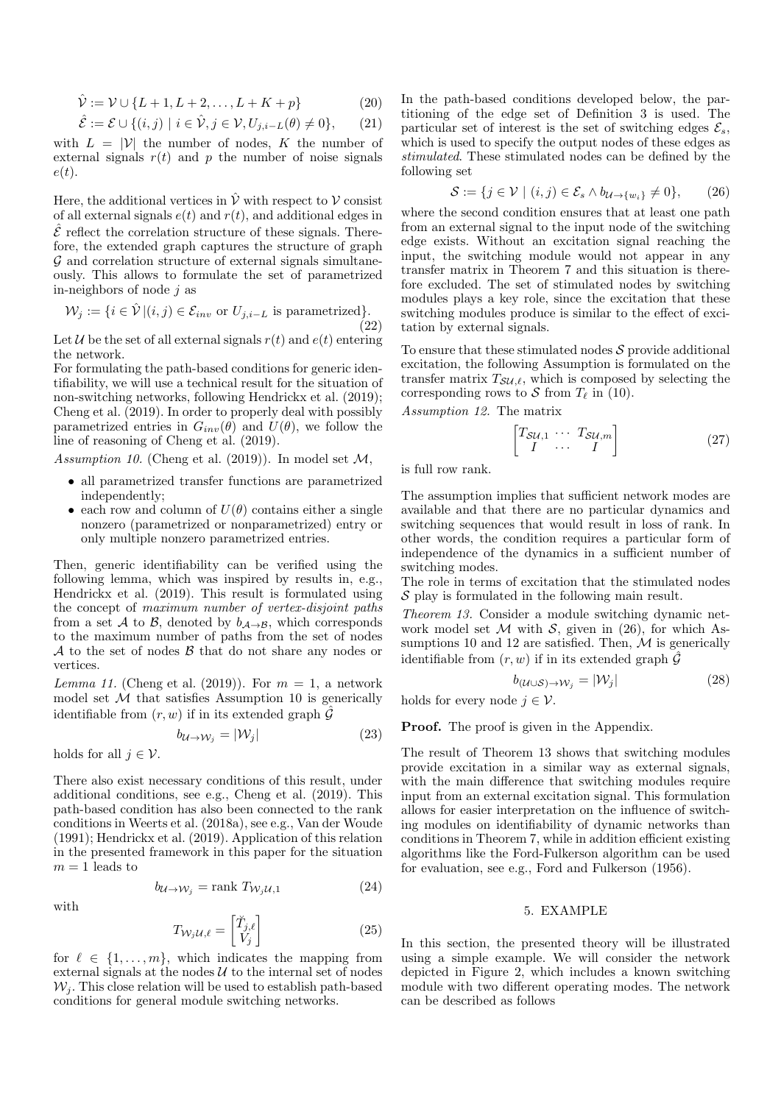$$
\hat{\mathcal{V}} := \mathcal{V} \cup \{L+1, L+2, \dots, L+K+p\}
$$
 (20)

$$
\hat{\mathcal{E}} := \mathcal{E} \cup \{ (i,j) \mid i \in \hat{\mathcal{V}}, j \in \mathcal{V}, U_{j,i-L}(\theta) \neq 0 \},\qquad(21)
$$

with  $L = |\mathcal{V}|$  the number of nodes, K the number of external signals  $r(t)$  and p the number of noise signals  $e(t)$ .

Here, the additional vertices in  $\hat{\mathcal{V}}$  with respect to  $\mathcal{V}$  consist of all external signals  $e(t)$  and  $r(t)$ , and additional edges in  $\hat{\mathcal{E}}$  reflect the correlation structure of these signals. Therefore, the extended graph captures the structure of graph  $\mathcal G$  and correlation structure of external signals simultaneously. This allows to formulate the set of parametrized in-neighbors of node  $j$  as

$$
\mathcal{W}_j := \{ i \in \hat{\mathcal{V}} \, | (i,j) \in \mathcal{E}_{inv} \text{ or } U_{j,i-L} \text{ is parametrized} \}. \tag{22}
$$

Let U be the set of all external signals  $r(t)$  and  $e(t)$  entering the network.

For formulating the path-based conditions for generic identifiability, we will use a technical result for the situation of non-switching networks, following Hendrickx et al. (2019); Cheng et al. (2019). In order to properly deal with possibly parametrized entries in  $G_{inv}(\theta)$  and  $U(\theta)$ , we follow the line of reasoning of Cheng et al. (2019).

Assumption 10. (Cheng et al.  $(2019)$ ). In model set M,

- all parametrized transfer functions are parametrized independently;
- each row and column of  $U(\theta)$  contains either a single nonzero (parametrized or nonparametrized) entry or only multiple nonzero parametrized entries.

Then, generic identifiability can be verified using the following lemma, which was inspired by results in, e.g., Hendrickx et al. (2019). This result is formulated using the concept of maximum number of vertex-disjoint paths from a set A to B, denoted by  $b_{\mathcal{A}\rightarrow\mathcal{B}}$ , which corresponds to the maximum number of paths from the set of nodes  $A$  to the set of nodes  $B$  that do not share any nodes or vertices.

Lemma 11. (Cheng et al. (2019)). For  $m = 1$ , a network model set  $M$  that satisfies Assumption 10 is generically identifiable from  $(r, w)$  if in its extended graph  $\hat{G}$ 

$$
b_{\mathcal{U}\to\mathcal{W}_j} = |\mathcal{W}_j| \tag{23}
$$

holds for all  $j \in \mathcal{V}$ .

There also exist necessary conditions of this result, under additional conditions, see e.g., Cheng et al. (2019). This path-based condition has also been connected to the rank conditions in Weerts et al. (2018a), see e.g., Van der Woude (1991); Hendrickx et al. (2019). Application of this relation in the presented framework in this paper for the situation  $m=1$  leads to

$$
b_{\mathcal{U}\to\mathcal{W}_j} = \text{rank } T_{\mathcal{W}_j\mathcal{U},1} \tag{24}
$$

with

$$
T_{\mathcal{W}_j \mathcal{U}, \ell} = \begin{bmatrix} \breve{T}_{j, \ell} \\ V_j \end{bmatrix} \tag{25}
$$

for  $\ell \in \{1, \ldots, m\}$ , which indicates the mapping from external signals at the nodes  $U$  to the internal set of nodes  $W_i$ . This close relation will be used to establish path-based conditions for general module switching networks.

In the path-based conditions developed below, the partitioning of the edge set of Definition 3 is used. The particular set of interest is the set of switching edges  $\mathcal{E}_s$ , which is used to specify the output nodes of these edges as stimulated. These stimulated nodes can be defined by the following set

$$
\mathcal{S} := \{ j \in \mathcal{V} \mid (i, j) \in \mathcal{E}_s \land b_{\mathcal{U} \to \{w_i\}} \neq 0 \}, \qquad (26)
$$

where the second condition ensures that at least one path from an external signal to the input node of the switching edge exists. Without an excitation signal reaching the input, the switching module would not appear in any transfer matrix in Theorem 7 and this situation is therefore excluded. The set of stimulated nodes by switching modules plays a key role, since the excitation that these switching modules produce is similar to the effect of excitation by external signals.

To ensure that these stimulated nodes  $S$  provide additional excitation, the following Assumption is formulated on the transfer matrix  $T_{\mathcal{S}U,\ell}$ , which is composed by selecting the corresponding rows to S from  $T_\ell$  in (10).

Assumption 12. The matrix

$$
\begin{bmatrix} T_{SU,1} & \cdots & T_{SU,m} \\ I & \cdots & I \end{bmatrix} \tag{27}
$$

is full row rank.

The assumption implies that sufficient network modes are available and that there are no particular dynamics and switching sequences that would result in loss of rank. In other words, the condition requires a particular form of independence of the dynamics in a sufficient number of switching modes.

The role in terms of excitation that the stimulated nodes  $S$  play is formulated in the following main result.

Theorem 13. Consider a module switching dynamic network model set  $M$  with  $S$ , given in (26), for which Assumptions 10 and 12 are satisfied. Then,  $\mathcal M$  is generically identifiable from  $(r, w)$  if in its extended graph  $\hat{G}$ 

$$
b_{(\mathcal{U}\cup\mathcal{S})\rightarrow\mathcal{W}_j} = |\mathcal{W}_j| \tag{28}
$$

holds for every node  $j \in \mathcal{V}$ .

Proof. The proof is given in the Appendix.

The result of Theorem 13 shows that switching modules provide excitation in a similar way as external signals, with the main difference that switching modules require input from an external excitation signal. This formulation allows for easier interpretation on the influence of switching modules on identifiability of dynamic networks than conditions in Theorem 7, while in addition efficient existing algorithms like the Ford-Fulkerson algorithm can be used for evaluation, see e.g., Ford and Fulkerson (1956).

## 5. EXAMPLE

In this section, the presented theory will be illustrated using a simple example. We will consider the network depicted in Figure 2, which includes a known switching module with two different operating modes. The network can be described as follows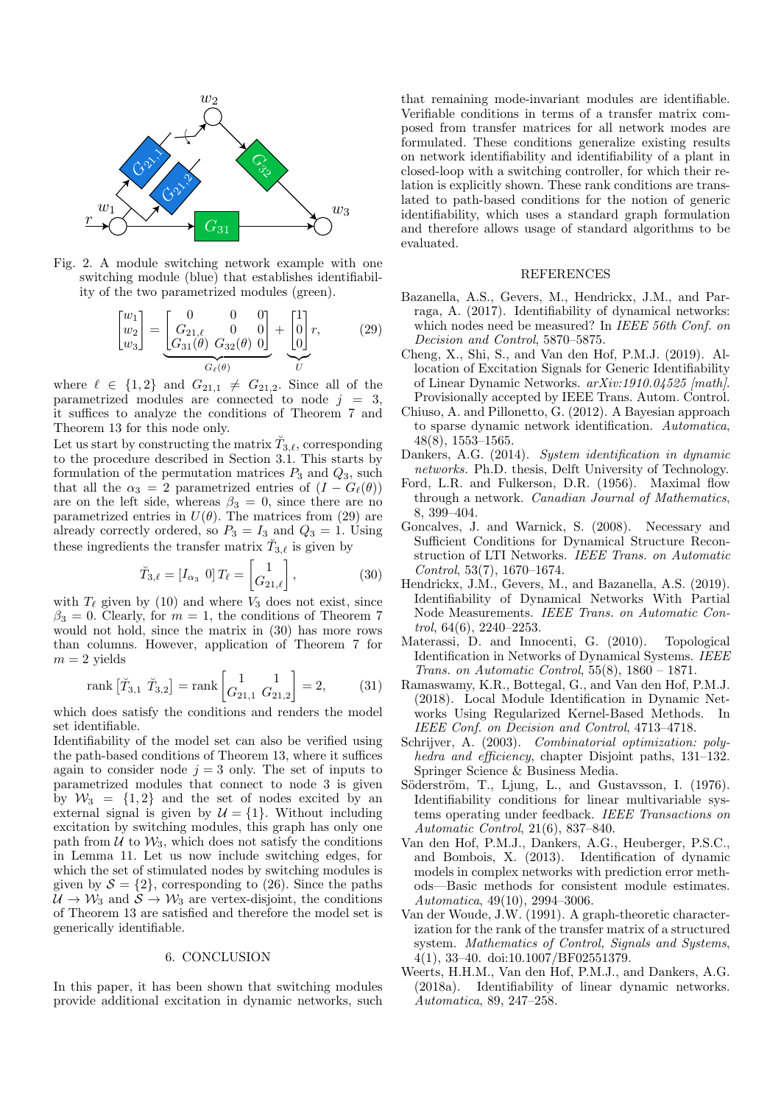

Fig. 2. A module switching network example with one switching module (blue) that establishes identifiability of the two parametrized modules (green).

$$
\begin{bmatrix} w_1 \\ w_2 \\ w_3 \end{bmatrix} = \underbrace{\begin{bmatrix} 0 & 0 & 0 \\ G_{21,\ell} & 0 & 0 \\ G_{31}(\theta) & G_{32}(\theta) & 0 \end{bmatrix}}_{G_{\ell}(\theta)} + \underbrace{\begin{bmatrix} 1 \\ 0 \\ 0 \end{bmatrix}}_{U} r, \qquad (29)
$$

where  $\ell \in \{1, 2\}$  and  $G_{21,1} \neq G_{21,2}$ . Since all of the parametrized modules are connected to node  $j = 3$ , it suffices to analyze the conditions of Theorem 7 and Theorem 13 for this node only.

Let us start by constructing the matrix  $\breve{T}_{3,\ell},$  corresponding to the procedure described in Section 3.1. This starts by formulation of the permutation matrices  $P_3$  and  $Q_3$ , such that all the  $\alpha_3 = 2$  parametrized entries of  $(I - G_{\ell}(\theta))$ are on the left side, whereas  $\beta_3 = 0$ , since there are no parametrized entries in  $U(\theta)$ . The matrices from (29) are already correctly ordered, so  $P_3 = I_3$  and  $Q_3 = 1$ . Using these ingredients the transfer matrix  $\tilde{T}_{3,\ell}$  is given by

$$
\breve{T}_{3,\ell} = [I_{\alpha_3} \ 0] \, T_{\ell} = \begin{bmatrix} 1 \\ G_{21,\ell} \end{bmatrix},\tag{30}
$$

with  $T_{\ell}$  given by (10) and where  $V_3$  does not exist, since  $\beta_3 = 0$ . Clearly, for  $m = 1$ , the conditions of Theorem 7 would not hold, since the matrix in (30) has more rows than columns. However, application of Theorem 7 for  $m = 2$  yields

rank 
$$
[\tilde{T}_{3,1} \tilde{T}_{3,2}]
$$
 = rank  $\begin{bmatrix} 1 & 1 \\ G_{21,1} & G_{21,2} \end{bmatrix}$  = 2, (31)

which does satisfy the conditions and renders the model set identifiable.

Identifiability of the model set can also be verified using the path-based conditions of Theorem 13, where it suffices again to consider node  $j = 3$  only. The set of inputs to parametrized modules that connect to node 3 is given by  $\mathcal{W}_3 = \{1, 2\}$  and the set of nodes excited by an external signal is given by  $\mathcal{U} = \{1\}$ . Without including excitation by switching modules, this graph has only one path from  $\mathcal U$  to  $\mathcal W_3$ , which does not satisfy the conditions in Lemma 11. Let us now include switching edges, for which the set of stimulated nodes by switching modules is given by  $S = \{2\}$ , corresponding to (26). Since the paths  $U \to W_3$  and  $S \to W_3$  are vertex-disjoint, the conditions of Theorem 13 are satisfied and therefore the model set is generically identifiable.

# 6. CONCLUSION

In this paper, it has been shown that switching modules provide additional excitation in dynamic networks, such that remaining mode-invariant modules are identifiable. Verifiable conditions in terms of a transfer matrix composed from transfer matrices for all network modes are formulated. These conditions generalize existing results on network identifiability and identifiability of a plant in closed-loop with a switching controller, for which their relation is explicitly shown. These rank conditions are translated to path-based conditions for the notion of generic identifiability, which uses a standard graph formulation and therefore allows usage of standard algorithms to be evaluated.

#### REFERENCES

- Bazanella, A.S., Gevers, M., Hendrickx, J.M., and Parraga, A. (2017). Identifiability of dynamical networks: which nodes need be measured? In IEEE 56th Conf. on Decision and Control, 5870–5875.
- Cheng, X., Shi, S., and Van den Hof, P.M.J. (2019). Allocation of Excitation Signals for Generic Identifiability of Linear Dynamic Networks. arXiv:1910.04525 [math]. Provisionally accepted by IEEE Trans. Autom. Control.
- Chiuso, A. and Pillonetto, G. (2012). A Bayesian approach to sparse dynamic network identification. Automatica, 48(8), 1553–1565.
- Dankers, A.G. (2014). System identification in dynamic networks. Ph.D. thesis, Delft University of Technology.
- Ford, L.R. and Fulkerson, D.R. (1956). Maximal flow through a network. Canadian Journal of Mathematics, 8, 399–404.
- Goncalves, J. and Warnick, S. (2008). Necessary and Sufficient Conditions for Dynamical Structure Reconstruction of LTI Networks. IEEE Trans. on Automatic Control, 53(7), 1670–1674.
- Hendrickx, J.M., Gevers, M., and Bazanella, A.S. (2019). Identifiability of Dynamical Networks With Partial Node Measurements. IEEE Trans. on Automatic Control, 64(6), 2240–2253.
- Materassi, D. and Innocenti, G. (2010). Topological Identification in Networks of Dynamical Systems. IEEE Trans. on Automatic Control, 55(8), 1860 – 1871.
- Ramaswamy, K.R., Bottegal, G., and Van den Hof, P.M.J. (2018). Local Module Identification in Dynamic Networks Using Regularized Kernel-Based Methods. In IEEE Conf. on Decision and Control, 4713–4718.
- Schrijver, A. (2003). Combinatorial optimization: polyhedra and efficiency, chapter Disjoint paths, 131-132. Springer Science & Business Media.
- Söderström, T., Ljung, L., and Gustavsson, I. (1976). Identifiability conditions for linear multivariable systems operating under feedback. IEEE Transactions on Automatic Control, 21(6), 837–840.
- Van den Hof, P.M.J., Dankers, A.G., Heuberger, P.S.C., and Bombois, X. (2013). Identification of dynamic models in complex networks with prediction error methods—Basic methods for consistent module estimates. Automatica, 49(10), 2994–3006.
- Van der Woude, J.W. (1991). A graph-theoretic characterization for the rank of the transfer matrix of a structured system. Mathematics of Control, Signals and Systems, 4(1), 33–40. doi:10.1007/BF02551379.
- Weerts, H.H.M., Van den Hof, P.M.J., and Dankers, A.G. (2018a). Identifiability of linear dynamic networks. Automatica, 89, 247–258.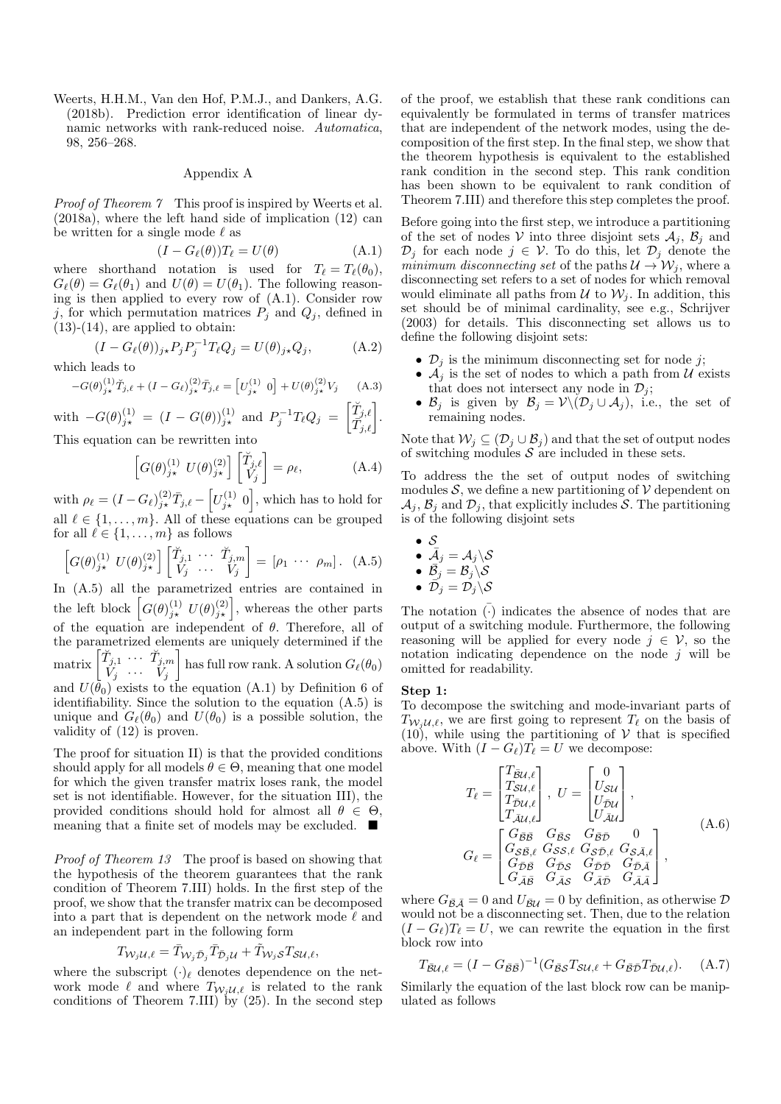Weerts, H.H.M., Van den Hof, P.M.J., and Dankers, A.G. (2018b). Prediction error identification of linear dynamic networks with rank-reduced noise. Automatica, 98, 256–268.

## Appendix A

Proof of Theorem 7 This proof is inspired by Weerts et al. (2018a), where the left hand side of implication (12) can be written for a single mode  $\ell$  as

$$
(I - G_{\ell}(\theta))T_{\ell} = U(\theta)
$$
 (A.1)

where shorthand notation is used for  $T_\ell = T_\ell(\theta_0)$ ,  $G_{\ell}(\theta) = G_{\ell}(\theta_1)$  and  $U(\theta) = U(\theta_1)$ . The following reasoning is then applied to every row of (A.1). Consider row j, for which permutation matrices  $P_i$  and  $Q_i$ , defined in  $(13)-(14)$ , are applied to obtain:

$$
(I - G_{\ell}(\theta))_{j\star} P_j P_j^{-1} T_{\ell} Q_j = U(\theta)_{j\star} Q_j, \qquad (A.2)
$$

which leads to

$$
-G(\theta)_{j\star}^{(1)}\tilde{T}_{j,\ell} + (I - G_{\ell})_{j\star}^{(2)}\tilde{T}_{j,\ell} = \left[U_{j\star}^{(1)} \ 0\right] + U(\theta)_{j\star}^{(2)}V_j \tag{A.3}
$$

with 
$$
-G(\theta)_{j\star}^{(1)} = (I - G(\theta))_{j\star}^{(1)}
$$
 and  $P_j^{-1}T_{\ell}Q_j = \begin{bmatrix} \tilde{T}_{j,\ell} \\ \tilde{T}_{j,\ell} \end{bmatrix}$ .  
This equation can be rewritten into

This equation can be rewritten into

$$
\[G(\theta)_{j\star}^{(1)}\ U(\theta)_{j\star}^{(2)}\]\begin{bmatrix} \tilde{T}_{j,\ell} \\ V_j \end{bmatrix} = \rho_\ell,\tag{A.4}
$$

with  $\rho_{\ell} = (I - G_{\ell})_{j\star}^{(2)} \bar{T}_{j,\ell} - \left[ U_{j\star}^{(1)} 0 \right]$ , which has to hold for all  $\ell \in \{1, \ldots, m\}$ . All of these equations can be grouped for all  $\ell \in \{1, \ldots, m\}$  as follows

$$
\[G(\theta)_{j\star}^{(1)} U(\theta)_{j\star}^{(2)}\] \begin{bmatrix} \tilde{T}_{j,1} & \cdots & \tilde{T}_{j,m} \\ V_j & \cdots & V_j \end{bmatrix} = [\rho_1 \cdots \rho_m]. \quad (A.5)
$$

In (A.5) all the parametrized entries are contained in the left block  $\left[G(\theta)_{j\star}^{(1)}\ U(\theta)_{j\star}^{(2)}\right]$ , whereas the other parts of the equation are independent of  $\theta$ . Therefore, all of the parametrized elements are uniquely determined if the matrix  $\begin{bmatrix} \breve{T}_{j,1} & \cdots & \breve{T}_{j,m} \\ V_j & \cdots & V_j \end{bmatrix}$ has full row rank. A solution  $G_{\ell}(\theta_0)$ and  $U(\bar{\theta}_0)$  exists to the equation (A.1) by Definition 6 of identifiability. Since the solution to the equation (A.5) is unique and  $G_{\ell}(\theta_0)$  and  $U(\theta_0)$  is a possible solution, the validity of (12) is proven.

The proof for situation II) is that the provided conditions should apply for all models  $\theta \in \Theta$ , meaning that one model for which the given transfer matrix loses rank, the model set is not identifiable. However, for the situation III), the provided conditions should hold for almost all  $\theta \in \Theta$ , meaning that a finite set of models may be excluded.  $\blacksquare$ 

Proof of Theorem 13 The proof is based on showing that the hypothesis of the theorem guarantees that the rank condition of Theorem 7.III) holds. In the first step of the proof, we show that the transfer matrix can be decomposed into a part that is dependent on the network mode  $\ell$  and an independent part in the following form

$$
T_{\mathcal{W}_j\mathcal{U},\ell} = \bar{T}_{\mathcal{W}_j\bar{\mathcal{D}}_j}\bar{T}_{\bar{\mathcal{D}}_j\mathcal{U}} + \tilde{T}_{\mathcal{W}_j\mathcal{S}}T_{\mathcal{SU},\ell},
$$

where the subscript  $(\cdot)_\ell$  denotes dependence on the network mode  $\ell$  and where  $T_{W_iU,\ell}$  is related to the rank conditions of Theorem 7.III) by  $(25)$ . In the second step of the proof, we establish that these rank conditions can equivalently be formulated in terms of transfer matrices that are independent of the network modes, using the decomposition of the first step. In the final step, we show that the theorem hypothesis is equivalent to the established rank condition in the second step. This rank condition has been shown to be equivalent to rank condition of Theorem 7.III) and therefore this step completes the proof.

Before going into the first step, we introduce a partitioning of the set of nodes V into three disjoint sets  $A_i$ ,  $B_i$  and  $\mathcal{D}_j$  for each node  $j \in \mathcal{V}$ . To do this, let  $\mathcal{D}_j$  denote the minimum disconnecting set of the paths  $\mathcal{U} \rightarrow \mathcal{W}_i$ , where a disconnecting set refers to a set of nodes for which removal would eliminate all paths from  $\mathcal U$  to  $\mathcal W_i$ . In addition, this set should be of minimal cardinality, see e.g., Schrijver (2003) for details. This disconnecting set allows us to define the following disjoint sets:

- $\mathcal{D}_j$  is the minimum disconnecting set for node j;
- $\mathcal{A}_j$  is the set of nodes to which a path from U exists that does not intersect any node in  $\mathcal{D}_j$ ;
- $\mathcal{B}_j$  is given by  $\mathcal{B}_j = \mathcal{V}\backslash(\mathcal{D}_j \cup \mathcal{A}_j)$ , i.e., the set of remaining nodes.

Note that  $W_i \subseteq (\mathcal{D}_i \cup \mathcal{B}_i)$  and that the set of output nodes of switching modules  $S$  are included in these sets.

To address the the set of output nodes of switching modules  $S$ , we define a new partitioning of  $V$  dependent on  $\mathcal{A}_j$ ,  $\mathcal{B}_j$  and  $\mathcal{D}_j$ , that explicitly includes S. The partitioning is of the following disjoint sets

\n- $$
\mathcal{S}
$$
\n- $\bar{\mathcal{A}}_j = \mathcal{A}_j \setminus \mathcal{S}$
\n- $\bar{\mathcal{B}}_j = \mathcal{B}_j \setminus \mathcal{S}$
\n- $\bar{\mathcal{D}}_j = \mathcal{D}_j \setminus \mathcal{S}$
\n

The notation  $\overline{(\cdot)}$  indicates the absence of nodes that are output of a switching module. Furthermore, the following reasoning will be applied for every node  $i \in \mathcal{V}$ , so the notation indicating dependence on the node  $i$  will be omitted for readability.

#### Step 1:

To decompose the switching and mode-invariant parts of  $T_{W_iU,\ell}$ , we are first going to represent  $T_{\ell}$  on the basis of  $(10)$ , while using the partitioning of V that is specified above. With  $(I - G_{\ell})T_{\ell} = U$  we decompose:

$$
T_{\ell} = \begin{bmatrix} T_{\tilde{B}U,\ell} \\ T_{SU,\ell} \\ T_{\tilde{D}U,\ell} \\ T_{\tilde{A}U,\ell} \end{bmatrix}, U = \begin{bmatrix} 0 \\ U_{SU} \\ U_{\tilde{D}U} \\ U_{\tilde{A}U} \end{bmatrix},
$$
  
\n
$$
G_{\ell} = \begin{bmatrix} G_{\tilde{B}\tilde{B}} & G_{\tilde{B}\tilde{S}} & G_{\tilde{B}\tilde{D}} & 0 \\ G_{\tilde{S}\tilde{B},\ell} & G_{\tilde{S}\tilde{S},\ell} & G_{\tilde{S}\tilde{D},\ell} \\ G_{\tilde{D}\tilde{B}} & G_{\tilde{D}\tilde{S}} & G_{\tilde{D}\tilde{D}} & G_{\tilde{D}\tilde{A}} \\ G_{\tilde{A}\tilde{B}} & G_{\tilde{A}\tilde{S}} & G_{\tilde{A}\tilde{D}} & G_{\tilde{A}\tilde{A}} \end{bmatrix},
$$
\n(A.6)

where  $G_{\bar{\mathcal{B}}\bar{\mathcal{A}}}=0$  and  $U_{\bar{\mathcal{B}}\mathcal{U}}=0$  by definition, as otherwise  $\mathcal{D}$ would not be a disconnecting set. Then, due to the relation  $(I - G_{\ell})T_{\ell} = U$ , we can rewrite the equation in the first block row into

$$
T_{\bar{\mathcal{B}}\mathcal{U},\ell} = (I - G_{\bar{\mathcal{B}}\bar{\mathcal{B}}})^{-1} (G_{\bar{\mathcal{B}}S} T_{\mathcal{S}\mathcal{U},\ell} + G_{\bar{\mathcal{B}}\bar{\mathcal{D}}} T_{\bar{\mathcal{D}}\mathcal{U},\ell}).
$$
 (A.7)

Similarly the equation of the last block row can be manipulated as follows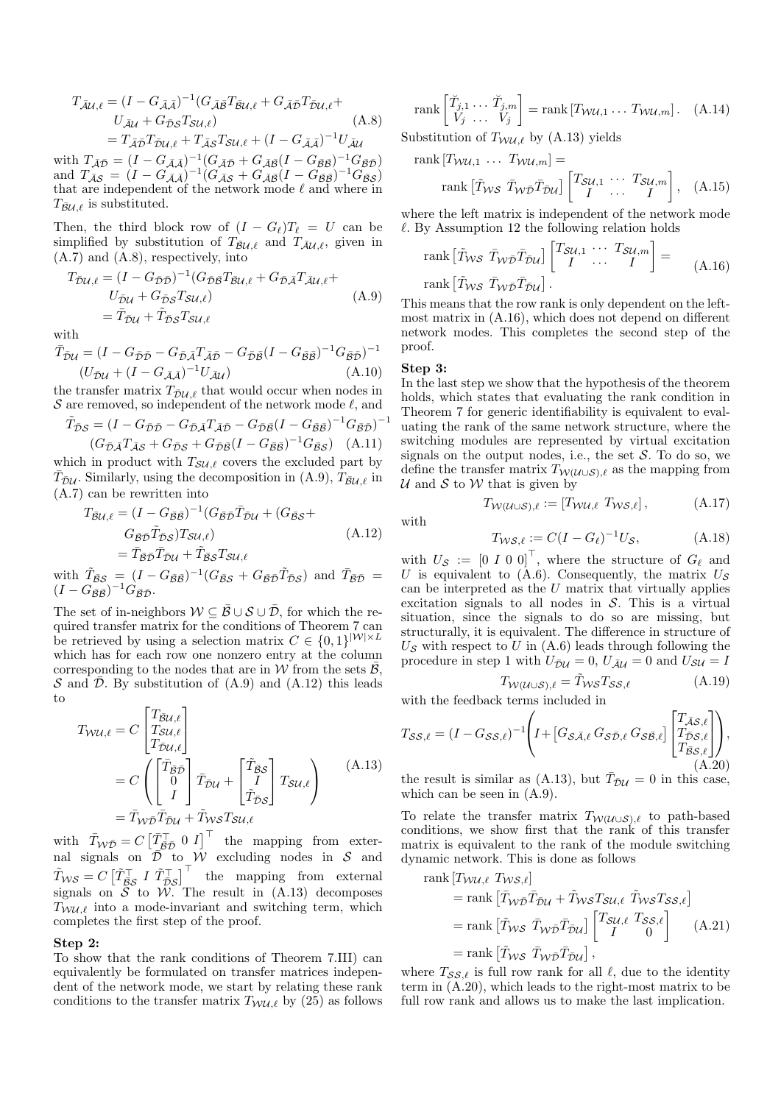$$
T_{\bar{\mathcal{A}}\mathcal{U},\ell} = (I - G_{\bar{\mathcal{A}},\bar{\mathcal{A}}})^{-1} (G_{\bar{\mathcal{A}}\bar{\mathcal{B}}} T_{\bar{\mathcal{B}}\mathcal{U},\ell} + G_{\bar{\mathcal{A}}\bar{\mathcal{D}}} T_{\bar{\mathcal{D}}\mathcal{U},\ell} +
$$
  
\n
$$
U_{\bar{\mathcal{A}}\mathcal{U}} + G_{\bar{\mathcal{D}}S} T_{\mathcal{S}\mathcal{U},\ell})
$$
\n
$$
= T_{\bar{\mathcal{A}}\bar{\mathcal{D}}} T_{\bar{\mathcal{D}}\mathcal{U},\ell} + T_{\bar{\mathcal{A}}S} T_{\mathcal{S}\mathcal{U},\ell} + (I - G_{\bar{\mathcal{A}},\bar{\mathcal{A}}})^{-1} U_{\bar{\mathcal{A}}\mathcal{U}}
$$
\n(A.8)

with  $T_{\bar{A}\bar{D}} = (I - G_{\bar{A}\bar{A}})^{-1} (G_{\bar{A}\bar{D}} + G_{\bar{A}\bar{B}} (I - G_{\bar{B}\bar{B}})^{-1} G_{\bar{B}\bar{D}})$ and  $T_{\bar{A}\bar{S}} = (I - G_{\bar{A}\bar{A}})^{-1} (G_{\bar{A}\bar{S}} + G_{\bar{A}\bar{B}} (I - G_{\bar{B}\bar{B}}))^{-1} G_{\bar{B}\bar{S}})$ that are independent of the network mode  $\ell$  and where in  $T_{\bar{\mathcal{B}}U\ell}$  is substituted.

Then, the third block row of  $(I - G_{\ell})T_{\ell} = U$  can be simplified by substitution of  $T_{\bar{B}U,\ell}$  and  $T_{\bar{A}U,\ell}$ , given in (A.7) and (A.8), respectively, into

$$
T_{\bar{D}\mathcal{U},\ell} = (I - G_{\bar{D}\bar{D}})^{-1} (G_{\bar{D}\bar{B}} T_{\bar{B}\mathcal{U},\ell} + G_{\bar{D}\bar{A}} T_{\bar{A}\mathcal{U},\ell} + U_{\bar{D}\mathcal{U}} + G_{\bar{D}\bar{S}} T_{\bar{S}\mathcal{U},\ell})
$$
  
=  $\bar{T}_{\bar{D}\mathcal{U}} + \tilde{T}_{\bar{D}\bar{S}} T_{\bar{S}\mathcal{U},\ell}$  (A.9)

with

$$
\overline{T}_{\overline{D}\mathcal{U}} = (I - G_{\overline{D}\overline{D}} - G_{\overline{D}\overline{A}} T_{\overline{A}\overline{D}} - G_{\overline{D}\overline{B}} (I - G_{\overline{B}\overline{B}})^{-1} G_{\overline{B}\overline{D}})^{-1}
$$
  

$$
(U_{\overline{D}\mathcal{U}} + (I - G_{\overline{A}\overline{A}})^{-1} U_{\overline{A}\mathcal{U}})
$$
(A.10)

the transfer matrix  $T_{\bar{\mathcal{D}}\mathcal{U},\ell}$  that would occur when nodes in S are removed, so independent of the network mode  $\ell$ , and

$$
\tilde{T}_{\bar{D}S} = (I - G_{\bar{D}\bar{D}} - G_{\bar{D}\bar{A}} T_{\bar{A}\bar{D}} - G_{\bar{D}\bar{B}} (I - G_{\bar{B}\bar{B}})^{-1} G_{\bar{B}\bar{D}})^{-1}
$$

$$
(G_{\bar{D}\bar{A}} T_{\bar{A}S} + G_{\bar{D}S} + G_{\bar{D}\bar{B}} (I - G_{\bar{B}\bar{B}})^{-1} G_{\bar{B}S}) \quad (A.11)
$$

which in product with  $T_{\text{SU},\ell}$  covers the excluded part by  $\bar{T}_{\bar{D}\mathcal{U}}$ . Similarly, using the decomposition in (A.9),  $T_{\bar{\mathcal{B}}\mathcal{U},\ell}$  in (A.7) can be rewritten into

$$
T_{\bar{B}\mathcal{U},\ell} = (I - G_{\bar{B}\bar{B}})^{-1} (G_{\bar{B}\bar{D}} \bar{T}_{\bar{D}\mathcal{U}} + (G_{\bar{B}\mathcal{S}} +
$$
  
\n
$$
G_{\bar{B}\bar{D}} \tilde{T}_{\bar{D}\mathcal{S}}) T_{\mathcal{S}\mathcal{U},\ell} \qquad (A.12)
$$
  
\n
$$
= \bar{T}_{\bar{B}\bar{D}} \bar{T}_{\bar{D}\mathcal{U}} + \tilde{T}_{\bar{B}\mathcal{S}} T_{\mathcal{S}\mathcal{U},\ell}
$$
  
\n
$$
\tilde{T}_{\bar{B}\mathcal{S}} = (I - G_{\bar{B}\bar{B}})^{-1} (G_{\bar{B}\mathcal{S}} + G_{\bar{B}\bar{D}} \tilde{T}_{\bar{D}\mathcal{S}}) \text{ and } \bar{T}_{\bar{B}\bar{D}} =
$$

with  $(I - G_{\bar{\mathcal{B}}\bar{\mathcal{B}}}^{\top})^{-1}G_{\bar{\mathcal{B}}\bar{\mathcal{D}}}$ .

The set of in-neighbors  $W \subseteq \overline{\mathcal{B}} \cup \mathcal{S} \cup \overline{\mathcal{D}}$ , for which the required transfer matrix for the conditions of Theorem 7 can be retrieved by using a selection matrix  $C \in \{0,1\}^{|\mathcal{W}| \times L}$ which has for each row one nonzero entry at the column corresponding to the nodes that are in W from the sets  $\bar{\mathcal{B}}$ , S and  $\overline{\mathcal{D}}$ . By substitution of (A.9) and (A.12) this leads to

$$
T_{WU,\ell} = C \begin{bmatrix} T_{\bar{B}U,\ell} \\ T_{\bar{S}U,\ell} \\ T_{\bar{D}U,\ell} \end{bmatrix}
$$
  
=  $C \begin{pmatrix} \begin{bmatrix} \bar{T}_{\bar{B}U} \\ 0 \end{bmatrix} \bar{T}_{\bar{D}U} + \begin{bmatrix} \tilde{T}_{\bar{B}\bar{S}} \\ I \end{bmatrix} T_{SU,\ell} \end{pmatrix}$  (A.13)  
=  $\bar{T}_{W\bar{D}} \bar{T}_{DU} + \tilde{T}_{WS} T_{SU,\ell}$ 

with  $\bar{T}_{\mathcal{W}\bar{\mathcal{D}}} = C \begin{bmatrix} \bar{T}_{\bar{\mathcal{B}}\bar{\mathcal{D}}}^{\top} & 0 & I \end{bmatrix}^{\top}$  the mapping from external signals on  $\overline{\mathcal{D}}$  to  $\mathcal{W}$  excluding nodes in S and  $\tilde{T}_{\mathcal{WS}} = C \begin{bmatrix} \tilde{T}_{\bar{\mathcal{BS}}}^\top & I \ \tilde{T}_{\bar{\mathcal{DS}}}^\top \end{bmatrix}^\top \quad \text{the} \quad \text{mapping} \quad \text{from} \quad \text{external}$ signals on  $S$  to  $W$ . The result in  $(A.13)$  decomposes  $T_{WUL}$  into a mode-invariant and switching term, which completes the first step of the proof.

## Step 2:

To show that the rank conditions of Theorem 7.III) can equivalently be formulated on transfer matrices independent of the network mode, we start by relating these rank conditions to the transfer matrix  $T_{\mathcal{WU},\ell}$  by (25) as follows

$$
\operatorname{rank}\begin{bmatrix} \breve{T}_{j,1} & \cdots & \breve{T}_{j,m} \\ V_j & \cdots & V_j \end{bmatrix} = \operatorname{rank}\begin{bmatrix} T_{\mathcal{WU},1} & \cdots & T_{\mathcal{WU},m} \end{bmatrix}. \quad \text{(A.14)}
$$

Substitution of  $T_{WUL}$  by (A.13) yields

$$
\text{rank}[T_{\mathcal{WU},1} \cdots T_{\mathcal{WU},m}] =
$$
\n
$$
\text{rank}[\tilde{T}_{\mathcal{W}\mathcal{S}} \ \bar{T}_{\mathcal{W}\mathcal{D}} \bar{T}_{\mathcal{D}U}] \begin{bmatrix} T_{\mathcal{S}U,1} \cdots T_{\mathcal{S}U,m} \\ I \cdots I \end{bmatrix}, \quad (A.15)
$$

where the left matrix is independent of the network mode  $\ell$ . By Assumption 12 the following relation holds

rank 
$$
[\tilde{T}_{WS} \ \bar{T}_{W\bar{D}} \bar{T}_{\bar{D}U}]
$$
  $\begin{bmatrix} T_{SU,1} & \cdots & T_{SU,m} \\ I & \cdots & I \end{bmatrix} =$   
rank  $[\tilde{T}_{WS} \ \bar{T}_{W\bar{D}} \bar{T}_{\bar{D}U}]$ . (A.16)

This means that the row rank is only dependent on the leftmost matrix in (A.16), which does not depend on different network modes. This completes the second step of the proof.

# Step 3:

In the last step we show that the hypothesis of the theorem holds, which states that evaluating the rank condition in Theorem 7 for generic identifiability is equivalent to evaluating the rank of the same network structure, where the switching modules are represented by virtual excitation signals on the output nodes, i.e., the set  $S$ . To do so, we define the transfer matrix  $T_{W(\mathcal{U}\cup\mathcal{S}),\ell}$  as the mapping from U and S to W that is given by

with

$$
T_{\mathcal{W}(\mathcal{U}\cup\mathcal{S}),\ell} := [T_{\mathcal{W}\mathcal{U},\ell} \ T_{\mathcal{W}\mathcal{S},\ell}], \tag{A.17}
$$

$$
T_{\mathcal{WS}, \ell} := C(I - G_{\ell})^{-1} U_{\mathcal{S}}, \tag{A.18}
$$

with  $U_{\mathcal{S}} := [0 I 0 0]^\top$ , where the structure of  $G_{\ell}$  and U is equivalent to (A.6). Consequently, the matrix  $U_{\mathcal{S}}$ can be interpreted as the  $U$  matrix that virtually applies excitation signals to all nodes in  $S$ . This is a virtual situation, since the signals to do so are missing, but structurally, it is equivalent. The difference in structure of  $U_{\mathcal{S}}$  with respect to U in (A.6) leads through following the procedure in step 1 with  $U_{\bar{\partial}U} = 0$ ,  $U_{\bar{\mathcal{A}}U} = 0$  and  $U_{\mathcal{S}U} = I$ 

$$
T_{\mathcal{W}(\mathcal{U}\cup\mathcal{S}),\ell} = \tilde{T}_{\mathcal{W}\mathcal{S}} T_{\mathcal{S}\mathcal{S},\ell} \tag{A.19}
$$

with the feedback terms included in

$$
T_{SS,\ell} = (I - G_{SS,\ell})^{-1} \left( I + \left[ G_{S\bar{A},\ell} G_{S\bar{D},\ell} G_{S\bar{B},\ell} \right] \begin{bmatrix} T_{\bar{A}S,\ell} \\ T_{\bar{D}S,\ell} \\ T_{\bar{B}S,\ell} \end{bmatrix} \right),\tag{A.20}
$$

the result is similar as (A.13), but  $\overline{T}_{\overline{D}U} = 0$  in this case, which can be seen in (A.9).

To relate the transfer matrix  $T_{W(\mathcal{U}\cup\mathcal{S}),\ell}$  to path-based conditions, we show first that the rank of this transfer matrix is equivalent to the rank of the module switching dynamic network. This is done as follows

rank 
$$
[T_{WU,\ell} \ T_{WS,\ell}]
$$
  
\n= rank  $[\bar{T}_{W\bar{D}}\bar{T}_{\bar{D}U} + \tilde{T}_{WS}T_{SU,\ell} \ \tilde{T}_{WS}T_{SS,\ell}]$   
\n= rank  $[\tilde{T}_{WS} \ \bar{T}_{W\bar{D}}\bar{T}_{\bar{D}U}]$   $\begin{bmatrix} T_{SU,\ell} \ T_{SS,\ell} \\ I \end{bmatrix}$  (A.21)  
\n= rank  $[\tilde{T}_{WS} \ \bar{T}_{W\bar{D}}\bar{T}_{\bar{D}U}]$ ,

where  $T_{SS,\ell}$  is full row rank for all  $\ell$ , due to the identity term in (A.20), which leads to the right-most matrix to be full row rank and allows us to make the last implication.